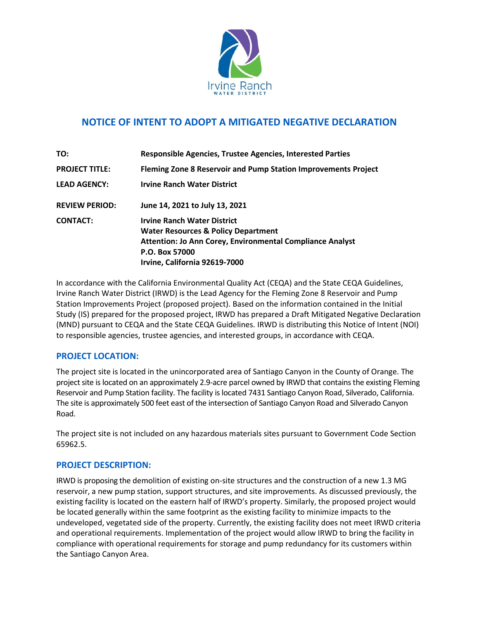

# **NOTICE OF INTENT TO ADOPT A MITIGATED NEGATIVE DECLARATION**

| TO:                   | Responsible Agencies, Trustee Agencies, Interested Parties                                                                                                                                           |
|-----------------------|------------------------------------------------------------------------------------------------------------------------------------------------------------------------------------------------------|
| <b>PROJECT TITLE:</b> | Fleming Zone 8 Reservoir and Pump Station Improvements Project                                                                                                                                       |
| <b>LEAD AGENCY:</b>   | <b>Irvine Ranch Water District</b>                                                                                                                                                                   |
| <b>REVIEW PERIOD:</b> | June 14, 2021 to July 13, 2021                                                                                                                                                                       |
| <b>CONTACT:</b>       | <b>Irvine Ranch Water District</b><br><b>Water Resources &amp; Policy Department</b><br>Attention: Jo Ann Corey, Environmental Compliance Analyst<br>P.O. Box 57000<br>Irvine, California 92619-7000 |

In accordance with the California Environmental Quality Act (CEQA) and the State CEQA Guidelines, Irvine Ranch Water District (IRWD) is the Lead Agency for the Fleming Zone 8 Reservoir and Pump Station Improvements Project (proposed project). Based on the information contained in the Initial Study (IS) prepared for the proposed project, IRWD has prepared a Draft Mitigated Negative Declaration (MND) pursuant to CEQA and the State CEQA Guidelines. IRWD is distributing this Notice of Intent (NOI) to responsible agencies, trustee agencies, and interested groups, in accordance with CEQA.

### **PROJECT LOCATION:**

The project site is located in the unincorporated area of Santiago Canyon in the County of Orange. The project site is located on an approximately 2.9-acre parcel owned by IRWD that contains the existing Fleming Reservoir and Pump Station facility. The facility islocated 7431 Santiago Canyon Road, Silverado, California. The site is approximately 500 feet east of the intersection of Santiago Canyon Road and Silverado Canyon Road.

The project site is not included on any hazardous materials sites pursuant to Government Code Section 65962.5.

### **PROJECT DESCRIPTION:**

IRWD is proposing the demolition of existing on-site structures and the construction of a new 1.3 MG reservoir, a new pump station, support structures, and site improvements. As discussed previously, the existing facility is located on the eastern half of IRWD's property. Similarly, the proposed project would be located generally within the same footprint as the existing facility to minimize impacts to the undeveloped, vegetated side of the property. Currently, the existing facility does not meet IRWD criteria and operational requirements. Implementation of the project would allow IRWD to bring the facility in compliance with operational requirements for storage and pump redundancy for its customers within the Santiago Canyon Area.